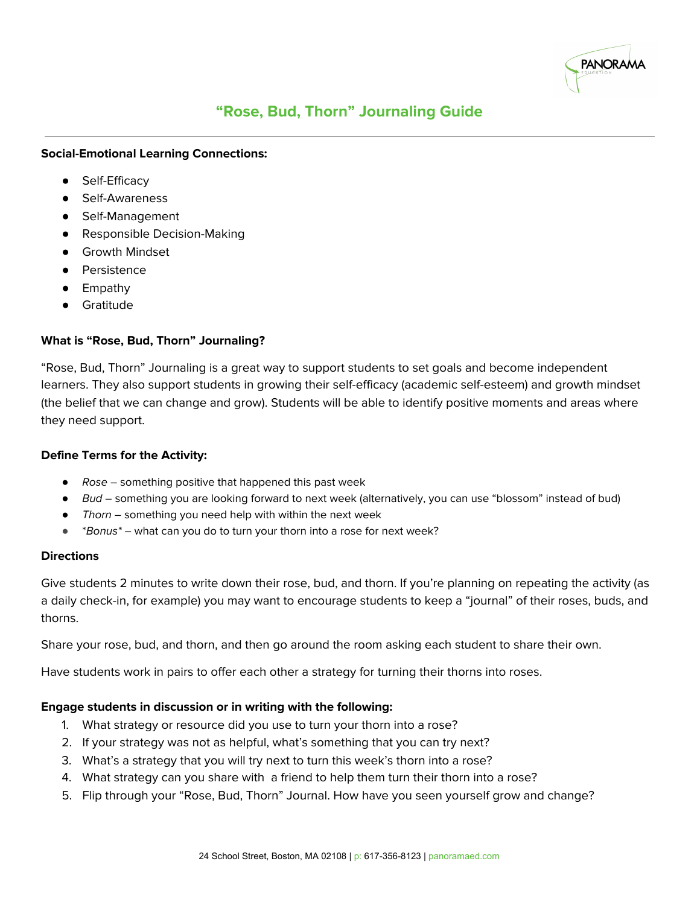

## **"Rose, Bud, Thorn" Journaling Guide**

### **Social-Emotional Learning Connections:**

- Self-Efficacy
- Self-Awareness
- Self-Management
- Responsible Decision-Making
- **•** Growth Mindset
- Persistence
- Empathy
- **Gratitude**

### **What is "Rose, Bud, Thorn" Journaling?**

"Rose, Bud, Thorn" Journaling is a great way to support students to set goals and become independent learners. They also support students in growing their self-efficacy (academic self-esteem) and growth mindset (the belief that we can change and grow). Students will be able to identify positive moments and areas where they need support.

### **Define Terms for the Activity:**

- $\bullet$  Rose something positive that happened this past week
- Bud something you are looking forward to next week (alternatively, you can use "blossom" instead of bud)
- Thorn something you need help with within the next week
- $*$ Bonus $*$  what can you do to turn your thorn into a rose for next week?

### **Directions**

Give students 2 minutes to write down their rose, bud, and thorn. If you're planning on repeating the activity (as a daily check-in, for example) you may want to encourage students to keep a "journal" of their roses, buds, and thorns.

Share your rose, bud, and thorn, and then go around the room asking each student to share their own.

Have students work in pairs to offer each other a strategy for turning their thorns into roses.

### **Engage students in discussion or in writing with the following:**

- 1. What strategy or resource did you use to turn your thorn into a rose?
- 2. If your strategy was not as helpful, what's something that you can try next?
- 3. What's a strategy that you will try next to turn this week's thorn into a rose?
- 4. What strategy can you share with a friend to help them turn their thorn into a rose?
- 5. Flip through your "Rose, Bud, Thorn" Journal. How have you seen yourself grow and change?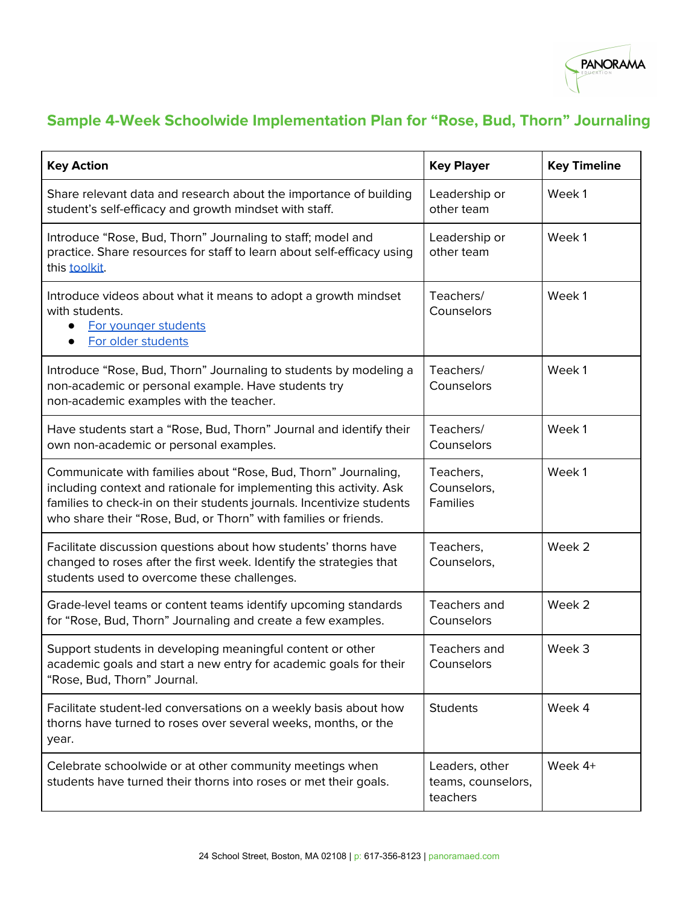

## **Sample 4-Week Schoolwide Implementation Plan for "Rose, Bud, Thorn" Journaling**

| <b>Key Action</b>                                                                                                                                                                                                                                                                 | <b>Key Player</b>                                | <b>Key Timeline</b> |
|-----------------------------------------------------------------------------------------------------------------------------------------------------------------------------------------------------------------------------------------------------------------------------------|--------------------------------------------------|---------------------|
| Share relevant data and research about the importance of building<br>student's self-efficacy and growth mindset with staff.                                                                                                                                                       | Leadership or<br>other team                      | Week1               |
| Introduce "Rose, Bud, Thorn" Journaling to staff; model and<br>practice. Share resources for staff to learn about self-efficacy using<br>this toolkit.                                                                                                                            | Leadership or<br>other team                      | Week1               |
| Introduce videos about what it means to adopt a growth mindset<br>with students.<br>For younger students<br>For older students                                                                                                                                                    | Teachers/<br>Counselors                          | Week1               |
| Introduce "Rose, Bud, Thorn" Journaling to students by modeling a<br>non-academic or personal example. Have students try<br>non-academic examples with the teacher.                                                                                                               | Teachers/<br>Counselors                          | Week 1              |
| Have students start a "Rose, Bud, Thorn" Journal and identify their<br>own non-academic or personal examples.                                                                                                                                                                     | Teachers/<br>Counselors                          | Week1               |
| Communicate with families about "Rose, Bud, Thorn" Journaling,<br>including context and rationale for implementing this activity. Ask<br>families to check-in on their students journals. Incentivize students<br>who share their "Rose, Bud, or Thorn" with families or friends. | Teachers,<br>Counselors,<br><b>Families</b>      | Week1               |
| Facilitate discussion questions about how students' thorns have<br>changed to roses after the first week. Identify the strategies that<br>students used to overcome these challenges.                                                                                             | Teachers,<br>Counselors,                         | Week 2              |
| Grade-level teams or content teams identify upcoming standards<br>for "Rose, Bud, Thorn" Journaling and create a few examples.                                                                                                                                                    | Teachers and<br>Counselors                       | Week 2              |
| Support students in developing meaningful content or other<br>academic goals and start a new entry for academic goals for their<br>"Rose, Bud, Thorn" Journal.                                                                                                                    | Teachers and<br>Counselors                       | Week 3              |
| Facilitate student-led conversations on a weekly basis about how<br>thorns have turned to roses over several weeks, months, or the<br>year.                                                                                                                                       | <b>Students</b>                                  | Week 4              |
| Celebrate schoolwide or at other community meetings when<br>students have turned their thorns into roses or met their goals.                                                                                                                                                      | Leaders, other<br>teams, counselors,<br>teachers | Week 4+             |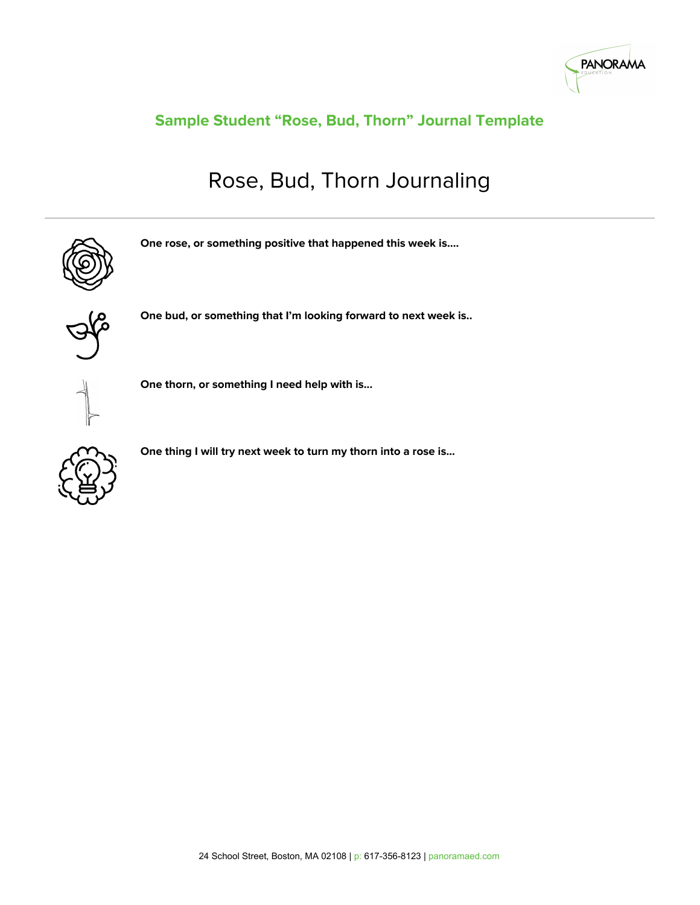

## **Sample Student "Rose, Bud, Thorn" Journal Template**

# Rose, Bud, Thorn Journaling



**One rose, or something positive that happened this week is….**



**One bud, or something that I'm looking forward to next week is..**



**One thorn, or something I need help with is...**



**One thing I will try next week to turn my thorn into a rose is...**